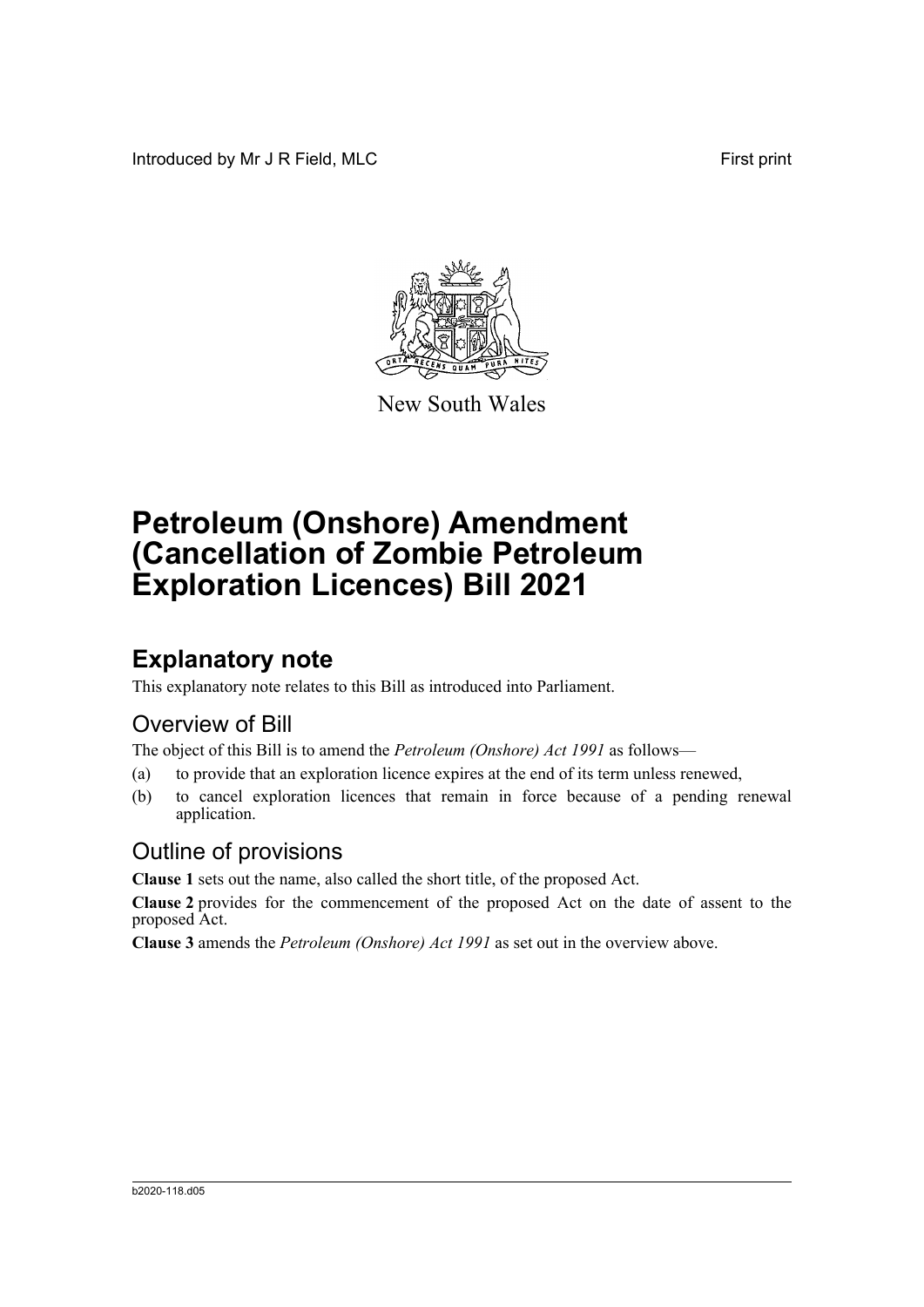Introduced by Mr J R Field, MLC First print



New South Wales

# **Petroleum (Onshore) Amendment (Cancellation of Zombie Petroleum Exploration Licences) Bill 2021**

## **Explanatory note**

This explanatory note relates to this Bill as introduced into Parliament.

#### Overview of Bill

The object of this Bill is to amend the *Petroleum (Onshore) Act 1991* as follows—

- (a) to provide that an exploration licence expires at the end of its term unless renewed,
- (b) to cancel exploration licences that remain in force because of a pending renewal application.

#### Outline of provisions

**Clause 1** sets out the name, also called the short title, of the proposed Act.

**Clause 2** provides for the commencement of the proposed Act on the date of assent to the proposed Act.

**Clause 3** amends the *Petroleum (Onshore) Act 1991* as set out in the overview above.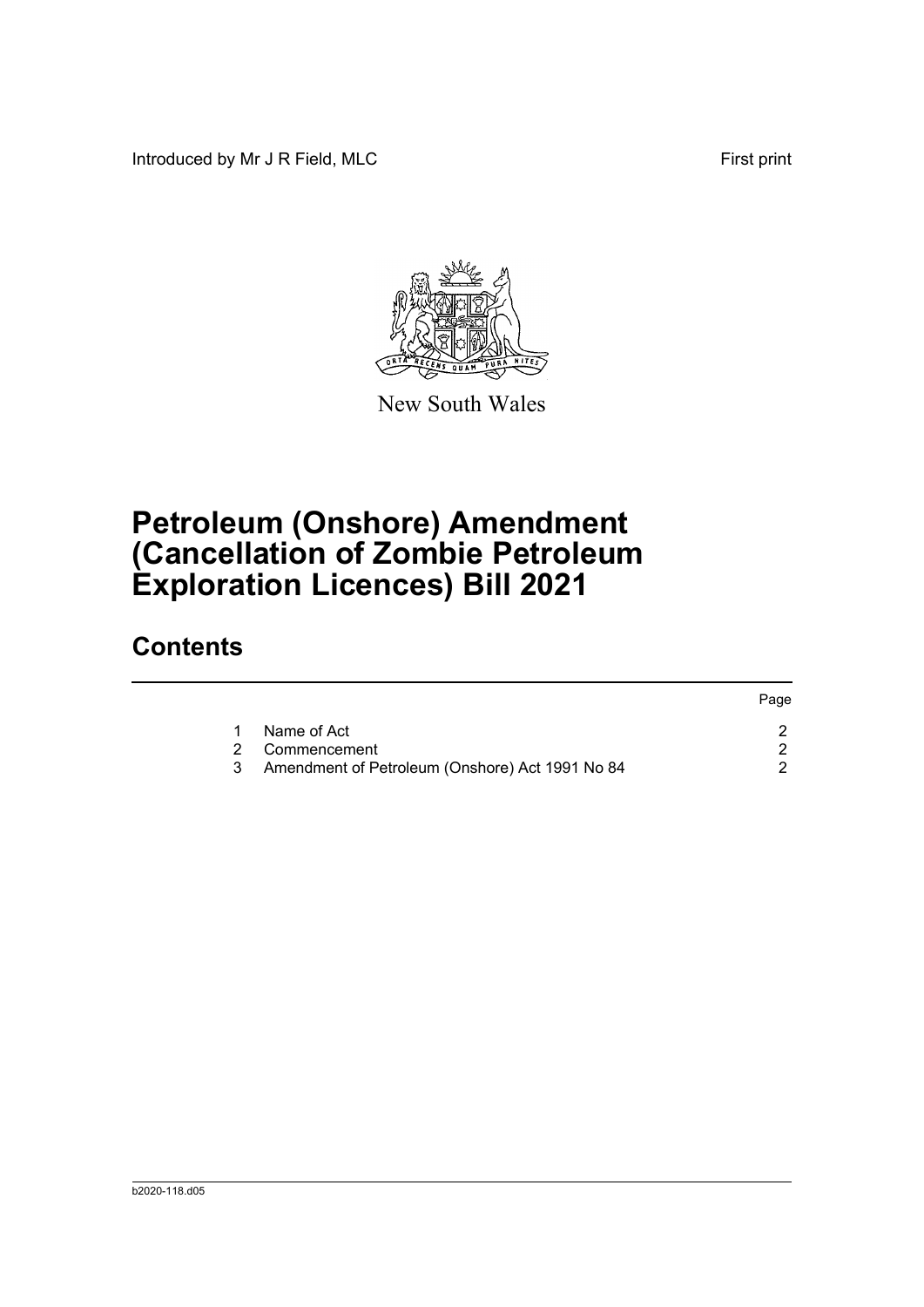Introduced by Mr J R Field, MLC First print



New South Wales

# **Petroleum (Onshore) Amendment (Cancellation of Zombie Petroleum Exploration Licences) Bill 2021**

### **Contents**

|                                                 | Page |
|-------------------------------------------------|------|
| Name of Act                                     |      |
| 2 Commencement                                  |      |
| Amendment of Petroleum (Onshore) Act 1991 No 84 |      |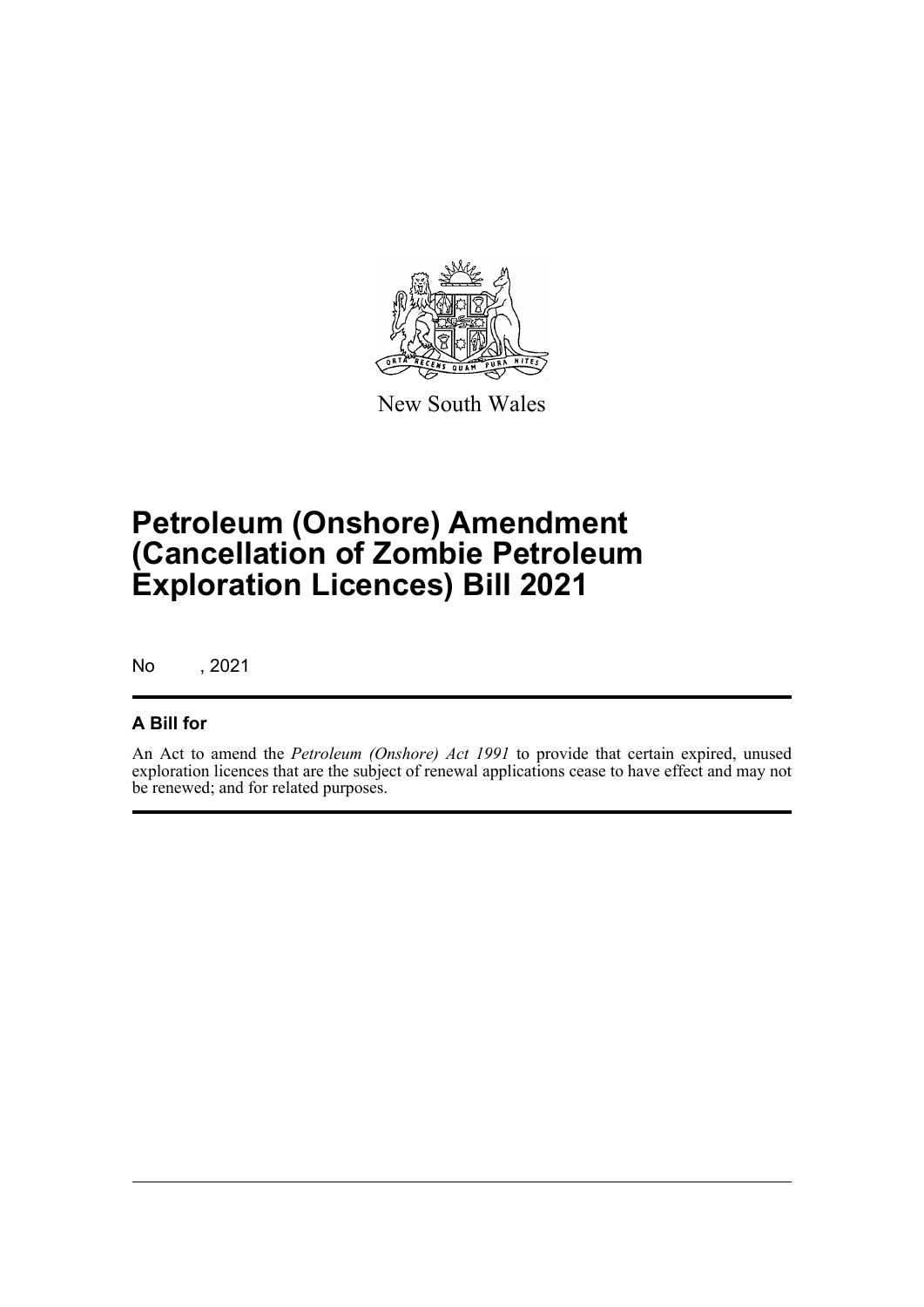

New South Wales

# **Petroleum (Onshore) Amendment (Cancellation of Zombie Petroleum Exploration Licences) Bill 2021**

No , 2021

#### **A Bill for**

An Act to amend the *Petroleum (Onshore) Act 1991* to provide that certain expired, unused exploration licences that are the subject of renewal applications cease to have effect and may not be renewed; and for related purposes.